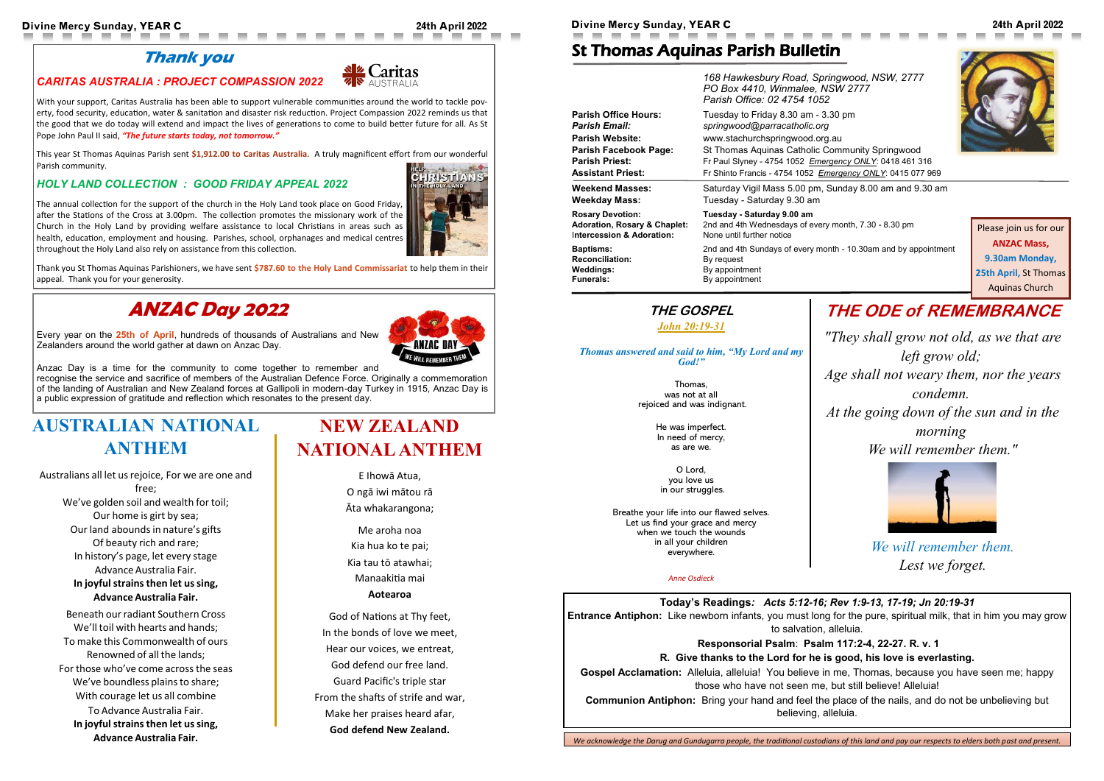#### **Today's Readings***: Acts 5:12-16; Rev 1:9-13, 17-19; Jn 20:19-31*

**Entrance Antiphon:** Like newborn infants, you must long for the pure, spiritual milk, that in him you may grow to salvation, alleluia.

#### **Responsorial Psalm**: **Psalm 117:2-4, 22-27. R. v. 1**

#### **R. Give thanks to the Lord for he is good, his love is everlasting.**

**Gospel Acclamation:** Alleluia, alleluia! You believe in me, Thomas, because you have seen me; happy those who have not seen me, but still believe! Alleluia!

**Communion Antiphon:** Bring your hand and feel the place of the nails, and do not be unbelieving but believing, alleluia.

Jaritas

### St Thomas Aquinas Parish Bulletin

*168 Hawkesbury Road, Springwood, NSW, 2777 PO Box 4410, Winmalee, NSW 2777*

|                                         | 168 Hawkesbury Road, Springwood, NSW, 2777<br>PO Box 4410, Winmalee, NSW 2777<br>Parish Office: 02 4754 1052 |
|-----------------------------------------|--------------------------------------------------------------------------------------------------------------|
| <b>Parish Office Hours:</b>             | Tuesday to Friday 8.30 am - 3.30 pm                                                                          |
| <b>Parish Email:</b>                    | springwood@parracatholic.org                                                                                 |
| <b>Parish Website:</b>                  | www.stachurchspringwood.org.au                                                                               |
| <b>Parish Facebook Page:</b>            | St Thomas Aquinas Catholic Community Springwood                                                              |
| <b>Parish Priest:</b>                   | Fr Paul Slyney - 4754 1052 Emergency ONLY: 0418 461 316                                                      |
| <b>Assistant Priest:</b>                | Fr Shinto Francis - 4754 1052 Emergency ONLY: 0415 077 969                                                   |
| <b>Weekend Masses:</b>                  | Saturday Vigil Mass 5.00 pm, Sunday 8.00 am and 9.30 am                                                      |
| <b>Weekday Mass:</b>                    | Tuesday - Saturday 9.30 am                                                                                   |
| <b>Rosary Devotion:</b>                 | Tuesday - Saturday 9.00 am                                                                                   |
| <b>Adoration, Rosary &amp; Chaplet:</b> | 2nd and 4th Wednesdays of every month, 7.30 - 8.30 pm                                                        |
| Intercession & Adoration:               | None until further notice                                                                                    |
| <b>Baptisms:</b>                        | 2nd and 4th Sundays of every month - 10.30am and by appointment                                              |
| <b>Reconciliation:</b>                  | By request                                                                                                   |
| <b>Weddings:</b>                        | By appointment                                                                                               |
| <b>Funerals:</b>                        | By appointment                                                                                               |

# **THE ODE of REMEMBRANCE**

*"They shall grow not old, as we that are left grow old;*

*Age shall not weary them, nor the years condemn.*

*At the going down of the sun and in the morning*

Australians all let us rejoice, For we are one and free; We've golden soil and wealth for toil; Our home is girt by sea; Our land abounds in nature's gifts Of beauty rich and rare; In history's page, let every stage Advance Australia Fair.

*We will remember them."*



*We will remember them. Lest we forget.*



### **Thank you**

**The Contract of the Contract of the Contract of the Contract of the Contract of the Contract of the Contract of the Contract of the Contract of The Contract of The Contract of The Contract of The Contract of The Contract** 

**The Second Service** 

#### *CARITAS AUSTRALIA : PROJECT COMPASSION 2022*

Beneath our radiant Southern Cross We'll toil with hearts and hands; To make this Commonwealth of ours Renowned of all the lands; For those who've come acrossthe seas We've boundless plains to share; With courage let us all combine To Advance Australia Fair. **In joyfulstrainsthen let ussing, Advance Australia Fair.**

With your support, Caritas Australia has been able to support vulnerable communities around the world to tackle poverty, food security, education, water & sanitation and disaster risk reduction. Project Compassion 2022 reminds us that the good that we do today will extend and impact the lives of generations to come to build better future for all. As St Pope John Paul II said, *"The future starts today, not tomorrow."* 

This year St Thomas Aquinas Parish sent **\$1,912.00 to Caritas Australia**. A truly magnificent effort from our wonderful Parish community.

#### *HOLY LAND COLLECTION : GOOD FRIDAY APPEAL 2022*

The annual collection for the support of the church in the Holy Land took place on Good Friday, after the Stations of the Cross at 3.00pm. The collection promotes the missionary work of the Church in the Holy Land by providing welfare assistance to local Christians in areas such as health, education, employment and housing. Parishes, school, orphanages and medical centres throughout the Holy Land also rely on assistance from this collection.

Thank you St Thomas Aquinas Parishioners, we have sent **\$787.60 to the Holy Land Commissariat** to help them in their appeal. Thank you for your generosity.

### **THE GOSPEL**

# *[John 20:19](https://bible.usccb.org/bible/john/18?33)-31*

#### *Thomas answered and said to him, "My Lord and my God!"*

Thomas, was not at all rejoiced and was indignant.

> He was imperfect. In need of mercy, as are we.

O Lord, you love us in our struggles.

Breathe your life into our flawed selves. Let us find your grace and mercy when we touch the wounds in all your children everywhere.

#### *Anne Osdieck*

# **AUSTRALIAN NATIONAL ANTHEM**

#### **In joyfulstrainsthen let ussing, Advance Australia Fair.**

# **NEW ZEALAND NATIONAL ANTHEM**

E Ihowā Atua, O ngā iwi mātou rā Āta whakarangona;

Me aroha noa Kia hua ko te pai; Kia tau tō atawhai; Manaakitia mai **Aotearoa** 

God of Nations at Thy feet, In the bonds of love we meet, Hear our voices, we entreat, God defend our free land. Guard Pacific's triple star From the shafts of strife and war, Make her praises heard afar, **God defend New Zealand.** 

# **ANZAC Day 2022**

Every year on the **25th of April**, hundreds of thousands of Australians and New Zealanders around the world gather at dawn on Anzac Day.



Anzac Day is a time for the community to come together to remember and

recognise the service and sacrifice of members of the Australian Defence Force. Originally a commemoration of the landing of Australian and New Zealand forces at Gallipoli in modern-day Turkey in 1915, Anzac Day is a public expression of gratitude and reflection which resonates to the present day.

Please join us for our **ANZAC Mass, 9.30am Monday, 25th April,** St Thomas Aquinas Church